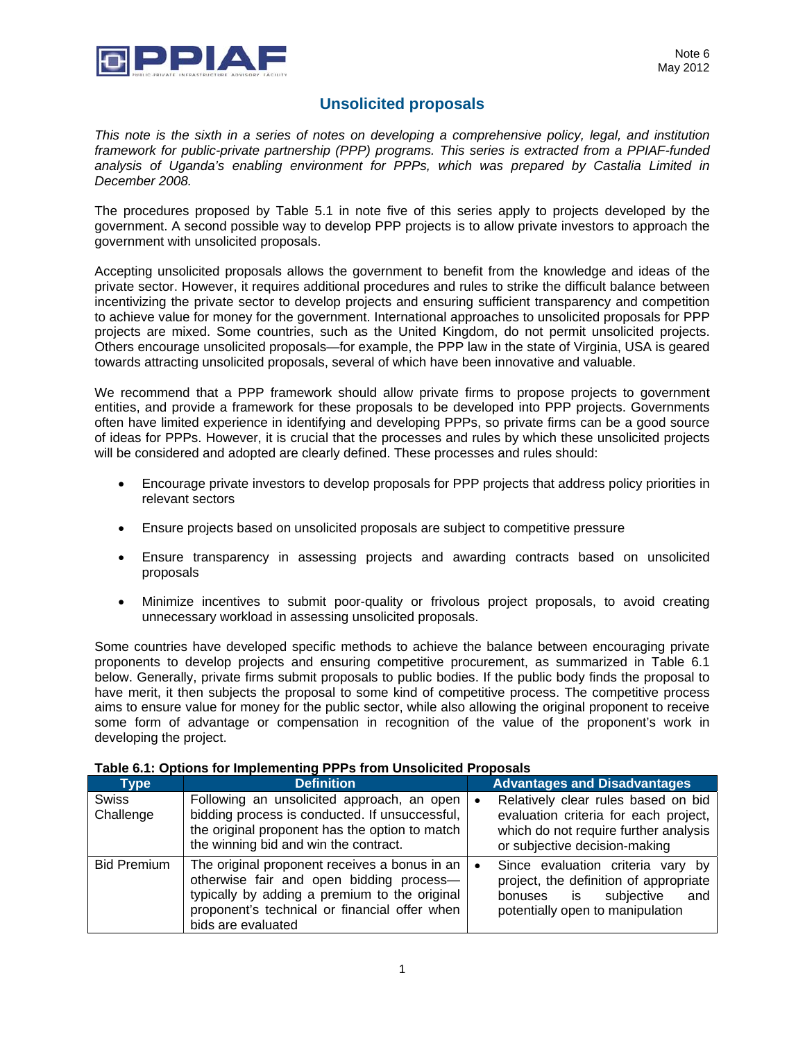

## **Unsolicited proposals**

*This note is the sixth in a series of notes on developing a comprehensive policy, legal, and institution framework for public-private partnership (PPP) programs. This series is extracted from a PPIAF-funded analysis of Uganda's enabling environment for PPPs, which was prepared by Castalia Limited in December 2008.* 

The procedures proposed by Table 5.1 in note five of this series apply to projects developed by the government. A second possible way to develop PPP projects is to allow private investors to approach the government with unsolicited proposals.

Accepting unsolicited proposals allows the government to benefit from the knowledge and ideas of the private sector. However, it requires additional procedures and rules to strike the difficult balance between incentivizing the private sector to develop projects and ensuring sufficient transparency and competition to achieve value for money for the government. International approaches to unsolicited proposals for PPP projects are mixed. Some countries, such as the United Kingdom, do not permit unsolicited projects. Others encourage unsolicited proposals—for example, the PPP law in the state of Virginia, USA is geared towards attracting unsolicited proposals, several of which have been innovative and valuable.

We recommend that a PPP framework should allow private firms to propose projects to government entities, and provide a framework for these proposals to be developed into PPP projects. Governments often have limited experience in identifying and developing PPPs, so private firms can be a good source of ideas for PPPs. However, it is crucial that the processes and rules by which these unsolicited projects will be considered and adopted are clearly defined. These processes and rules should:

- Encourage private investors to develop proposals for PPP projects that address policy priorities in relevant sectors
- Ensure projects based on unsolicited proposals are subject to competitive pressure
- Ensure transparency in assessing projects and awarding contracts based on unsolicited proposals
- Minimize incentives to submit poor-quality or frivolous project proposals, to avoid creating unnecessary workload in assessing unsolicited proposals.

Some countries have developed specific methods to achieve the balance between encouraging private proponents to develop projects and ensuring competitive procurement, as summarized in Table 6.1 below. Generally, private firms submit proposals to public bodies. If the public body finds the proposal to have merit, it then subjects the proposal to some kind of competitive process. The competitive process aims to ensure value for money for the public sector, while also allowing the original proponent to receive some form of advantage or compensation in recognition of the value of the proponent's work in developing the project.

| <b>Type</b>               | <b>Definition</b>                                                                                                                                                                                                 |           | <b>Advantages and Disadvantages</b>                                                                                                                    |
|---------------------------|-------------------------------------------------------------------------------------------------------------------------------------------------------------------------------------------------------------------|-----------|--------------------------------------------------------------------------------------------------------------------------------------------------------|
| <b>Swiss</b><br>Challenge | Following an unsolicited approach, an open<br>bidding process is conducted. If unsuccessful,<br>the original proponent has the option to match<br>the winning bid and win the contract.                           | $\bullet$ | Relatively clear rules based on bid<br>evaluation criteria for each project,<br>which do not require further analysis<br>or subjective decision-making |
| <b>Bid Premium</b>        | The original proponent receives a bonus in an<br>otherwise fair and open bidding process-<br>typically by adding a premium to the original<br>proponent's technical or financial offer when<br>bids are evaluated | $\bullet$ | Since evaluation criteria vary by<br>project, the definition of appropriate<br>subjective<br>and<br>bonuses is<br>potentially open to manipulation     |

## **Table 6.1: Options for Implementing PPPs from Unsolicited Proposals**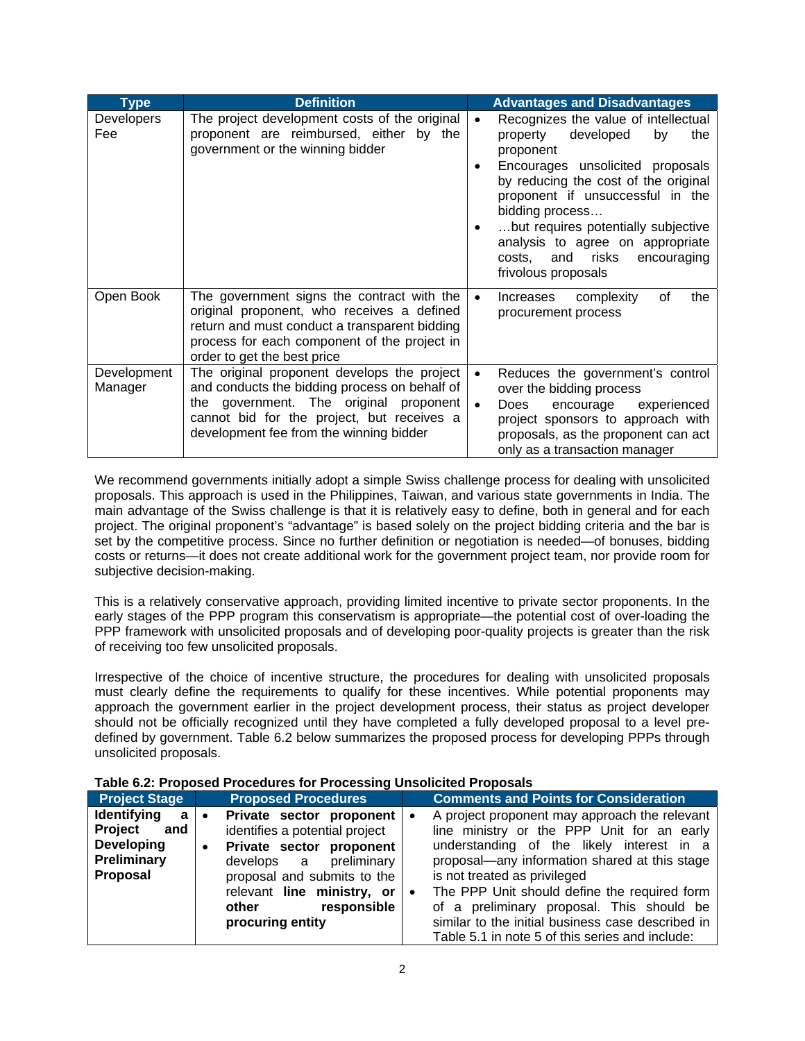| Type                   | <b>Definition</b>                                                                                                                                                                                                               |                                     | <b>Advantages and Disadvantages</b>                                                                                                                                                                                                                                                                                                                             |
|------------------------|---------------------------------------------------------------------------------------------------------------------------------------------------------------------------------------------------------------------------------|-------------------------------------|-----------------------------------------------------------------------------------------------------------------------------------------------------------------------------------------------------------------------------------------------------------------------------------------------------------------------------------------------------------------|
| Developers<br>Fee      | The project development costs of the original<br>proponent are reimbursed, either by the<br>government or the winning bidder                                                                                                    | $\bullet$<br>$\bullet$<br>$\bullet$ | Recognizes the value of intellectual<br>developed<br>property<br>by<br>the<br>proponent<br>Encourages unsolicited proposals<br>by reducing the cost of the original<br>proponent if unsuccessful in the<br>bidding process<br>but requires potentially subjective<br>analysis to agree on appropriate<br>costs, and risks<br>encouraging<br>frivolous proposals |
| Open Book              | The government signs the contract with the<br>original proponent, who receives a defined<br>return and must conduct a transparent bidding<br>process for each component of the project in<br>order to get the best price        | $\bullet$                           | complexity<br>of<br>the<br>Increases<br>procurement process                                                                                                                                                                                                                                                                                                     |
| Development<br>Manager | The original proponent develops the project<br>and conducts the bidding process on behalf of<br>the government. The original proponent<br>cannot bid for the project, but receives a<br>development fee from the winning bidder | $\bullet$<br>$\bullet$              | Reduces the government's control<br>over the bidding process<br>encourage<br>Does<br>experienced<br>project sponsors to approach with<br>proposals, as the proponent can act<br>only as a transaction manager                                                                                                                                                   |

We recommend governments initially adopt a simple Swiss challenge process for dealing with unsolicited proposals. This approach is used in the Philippines, Taiwan, and various state governments in India. The main advantage of the Swiss challenge is that it is relatively easy to define, both in general and for each project. The original proponent's "advantage" is based solely on the project bidding criteria and the bar is set by the competitive process. Since no further definition or negotiation is needed—of bonuses, bidding costs or returns—it does not create additional work for the government project team, nor provide room for subjective decision-making.

This is a relatively conservative approach, providing limited incentive to private sector proponents. In the early stages of the PPP program this conservatism is appropriate—the potential cost of over-loading the PPP framework with unsolicited proposals and of developing poor-quality projects is greater than the risk of receiving too few unsolicited proposals.

Irrespective of the choice of incentive structure, the procedures for dealing with unsolicited proposals must clearly define the requirements to qualify for these incentives. While potential proponents may approach the government earlier in the project development process, their status as project developer should not be officially recognized until they have completed a fully developed proposal to a level predefined by government. Table 6.2 below summarizes the proposed process for developing PPPs through unsolicited proposals.

| <b>Project Stage</b>                                                                             | <b>Proposed Procedures</b>                                                                                                                                                                                                                              | <b>Comments and Points for Consideration</b>                                                                                                                                                                                                                                                                                                                                                                                         |
|--------------------------------------------------------------------------------------------------|---------------------------------------------------------------------------------------------------------------------------------------------------------------------------------------------------------------------------------------------------------|--------------------------------------------------------------------------------------------------------------------------------------------------------------------------------------------------------------------------------------------------------------------------------------------------------------------------------------------------------------------------------------------------------------------------------------|
| <b>Identifying</b><br>a<br><b>Project</b><br>and<br><b>Developing</b><br>Preliminary<br>Proposal | Private sector proponent   •<br>$\bullet$<br>identifies a potential project<br>Private sector proponent<br>$\bullet$<br>develops a preliminary<br>proposal and submits to the<br>relevant line ministry, or<br>responsible<br>other<br>procuring entity | A project proponent may approach the relevant<br>line ministry or the PPP Unit for an early<br>understanding of the likely interest in a<br>proposal—any information shared at this stage<br>is not treated as privileged<br>The PPP Unit should define the required form<br>∣∙<br>of a preliminary proposal. This should be<br>similar to the initial business case described in<br>Table 5.1 in note 5 of this series and include: |

**Table 6.2: Proposed Procedures for Processing Unsolicited Proposals**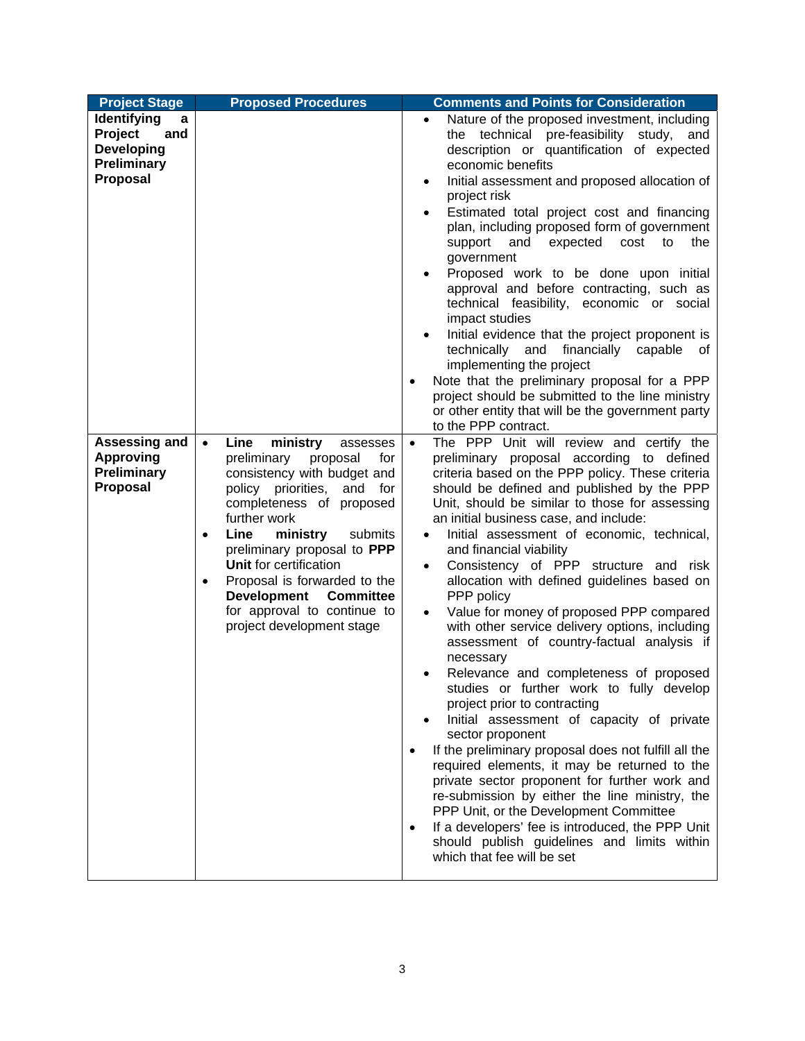| <b>Project Stage</b>                                                                                                                                             | <b>Proposed Procedures</b>                                                                                                                                                                                                                                                                                                                   | <b>Comments and Points for Consideration</b>                                                                                                                                                                                                                                                                                                                                                                                                                                                                                                                                                                                                                                                                                                                                                                                                                                                                                                                                                                                                                                                                                                                                                                                                                                                                                                                                |
|------------------------------------------------------------------------------------------------------------------------------------------------------------------|----------------------------------------------------------------------------------------------------------------------------------------------------------------------------------------------------------------------------------------------------------------------------------------------------------------------------------------------|-----------------------------------------------------------------------------------------------------------------------------------------------------------------------------------------------------------------------------------------------------------------------------------------------------------------------------------------------------------------------------------------------------------------------------------------------------------------------------------------------------------------------------------------------------------------------------------------------------------------------------------------------------------------------------------------------------------------------------------------------------------------------------------------------------------------------------------------------------------------------------------------------------------------------------------------------------------------------------------------------------------------------------------------------------------------------------------------------------------------------------------------------------------------------------------------------------------------------------------------------------------------------------------------------------------------------------------------------------------------------------|
| Identifying<br>a<br>Project<br>and<br><b>Developing</b><br>Preliminary<br><b>Proposal</b><br>Assessing and<br><b>Approving</b><br><b>Preliminary</b><br>Proposal | Line<br>ministry<br>$\bullet$<br>assesses<br>preliminary<br>proposal<br>for<br>consistency with budget and<br>policy priorities,<br>and<br>for<br>completeness of proposed<br>further work<br>Line<br>ministry<br>submits<br>$\bullet$<br>preliminary proposal to PPP<br>Unit for certification<br>Proposal is forwarded to the<br>$\bullet$ | Nature of the proposed investment, including<br>$\bullet$<br>the technical pre-feasibility study, and<br>description or quantification of expected<br>economic benefits<br>Initial assessment and proposed allocation of<br>project risk<br>Estimated total project cost and financing<br>plan, including proposed form of government<br>support and<br>expected<br>cost<br>to<br>the<br>government<br>Proposed work to be done upon initial<br>approval and before contracting, such as<br>technical feasibility, economic or social<br>impact studies<br>Initial evidence that the project proponent is<br>and<br>financially<br>technically<br>capable<br>of<br>implementing the project<br>Note that the preliminary proposal for a PPP<br>$\bullet$<br>project should be submitted to the line ministry<br>or other entity that will be the government party<br>to the PPP contract.<br>The PPP Unit will review and certify the<br>$\bullet$<br>preliminary proposal according to defined<br>criteria based on the PPP policy. These criteria<br>should be defined and published by the PPP<br>Unit, should be similar to those for assessing<br>an initial business case, and include:<br>Initial assessment of economic, technical,<br>and financial viability<br>Consistency of PPP structure and risk<br>$\bullet$<br>allocation with defined guidelines based on |
|                                                                                                                                                                  | <b>Development</b><br><b>Committee</b><br>for approval to continue to<br>project development stage                                                                                                                                                                                                                                           | PPP policy<br>Value for money of proposed PPP compared<br>$\bullet$<br>with other service delivery options, including<br>assessment of country-factual analysis if<br>necessary<br>Relevance and completeness of proposed<br>٠<br>studies or further work to fully develop<br>project prior to contracting<br>Initial assessment of capacity of private<br>sector proponent<br>If the preliminary proposal does not fulfill all the<br>required elements, it may be returned to the<br>private sector proponent for further work and<br>re-submission by either the line ministry, the<br>PPP Unit, or the Development Committee<br>If a developers' fee is introduced, the PPP Unit<br>$\bullet$<br>should publish guidelines and limits within<br>which that fee will be set                                                                                                                                                                                                                                                                                                                                                                                                                                                                                                                                                                                              |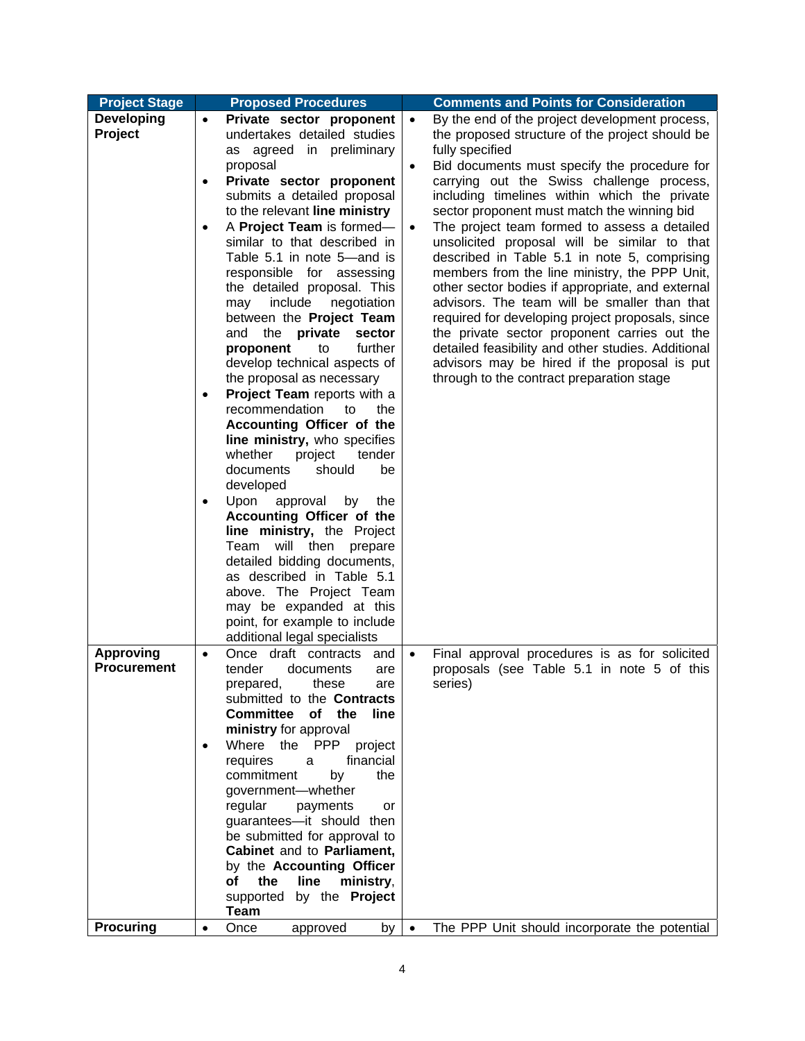| <b>Project Stage</b>         |                                  | <b>Proposed Procedures</b>                                                                                                                                                                                                                                                                                                                                                                                                                                                                                                                                                                                                                                                                                                                                                                                                                                                                                                                                                                                                        |                                     | <b>Comments and Points for Consideration</b>                                                                                                                                                                                                                                                                                                                                                                                                                                                                                                                                                                                                                                                                                                                                                                                                                                 |
|------------------------------|----------------------------------|-----------------------------------------------------------------------------------------------------------------------------------------------------------------------------------------------------------------------------------------------------------------------------------------------------------------------------------------------------------------------------------------------------------------------------------------------------------------------------------------------------------------------------------------------------------------------------------------------------------------------------------------------------------------------------------------------------------------------------------------------------------------------------------------------------------------------------------------------------------------------------------------------------------------------------------------------------------------------------------------------------------------------------------|-------------------------------------|------------------------------------------------------------------------------------------------------------------------------------------------------------------------------------------------------------------------------------------------------------------------------------------------------------------------------------------------------------------------------------------------------------------------------------------------------------------------------------------------------------------------------------------------------------------------------------------------------------------------------------------------------------------------------------------------------------------------------------------------------------------------------------------------------------------------------------------------------------------------------|
| <b>Developing</b><br>Project | $\bullet$<br>٠<br>٠<br>$\bullet$ | Private sector proponent<br>undertakes detailed studies<br>as agreed in preliminary<br>proposal<br>Private sector proponent<br>submits a detailed proposal<br>to the relevant line ministry<br>A Project Team is formed-<br>similar to that described in<br>Table 5.1 in note 5-and is<br>responsible for assessing<br>the detailed proposal. This<br>include<br>negotiation<br>may<br>between the Project Team<br>private<br>and<br>the<br>sector<br>further<br>proponent<br>to<br>develop technical aspects of<br>the proposal as necessary<br>Project Team reports with a<br>recommendation<br>to<br>the<br>Accounting Officer of the<br>line ministry, who specifies<br>whether<br>project<br>tender<br>documents<br>should<br>be<br>developed<br>Upon<br>approval<br>by<br>the<br>Accounting Officer of the<br>line ministry, the Project<br>Team<br>will then<br>prepare<br>detailed bidding documents,<br>as described in Table 5.1<br>above. The Project Team<br>may be expanded at this<br>point, for example to include | $\bullet$<br>$\bullet$<br>$\bullet$ | By the end of the project development process,<br>the proposed structure of the project should be<br>fully specified<br>Bid documents must specify the procedure for<br>carrying out the Swiss challenge process,<br>including timelines within which the private<br>sector proponent must match the winning bid<br>The project team formed to assess a detailed<br>unsolicited proposal will be similar to that<br>described in Table 5.1 in note 5, comprising<br>members from the line ministry, the PPP Unit,<br>other sector bodies if appropriate, and external<br>advisors. The team will be smaller than that<br>required for developing project proposals, since<br>the private sector proponent carries out the<br>detailed feasibility and other studies. Additional<br>advisors may be hired if the proposal is put<br>through to the contract preparation stage |
| <b>Approving</b>             |                                  | additional legal specialists<br>Once draft contracts                                                                                                                                                                                                                                                                                                                                                                                                                                                                                                                                                                                                                                                                                                                                                                                                                                                                                                                                                                              | $\bullet$                           |                                                                                                                                                                                                                                                                                                                                                                                                                                                                                                                                                                                                                                                                                                                                                                                                                                                                              |
| <b>Procurement</b>           | $\bullet$                        | and<br>tender<br>documents<br>are<br>these<br>prepared,<br>are<br>submitted to the <b>Contracts</b><br><b>Committee</b><br>of the<br><b>line</b><br>ministry for approval<br>Where the PPP<br>project<br>financial<br>requires<br>a<br>commitment<br>by<br>the<br>government-whether<br>regular<br>payments<br>or<br>guarantees-it should then<br>be submitted for approval to<br>Cabinet and to Parliament,<br>by the Accounting Officer<br>of the<br>line<br>ministry,<br>supported by the <b>Project</b><br><b>Team</b>                                                                                                                                                                                                                                                                                                                                                                                                                                                                                                        |                                     | Final approval procedures is as for solicited<br>proposals (see Table 5.1 in note 5 of this<br>series)                                                                                                                                                                                                                                                                                                                                                                                                                                                                                                                                                                                                                                                                                                                                                                       |
| <b>Procuring</b>             | $\bullet$                        | Once<br>approved<br>by                                                                                                                                                                                                                                                                                                                                                                                                                                                                                                                                                                                                                                                                                                                                                                                                                                                                                                                                                                                                            | $\bullet$                           | The PPP Unit should incorporate the potential                                                                                                                                                                                                                                                                                                                                                                                                                                                                                                                                                                                                                                                                                                                                                                                                                                |